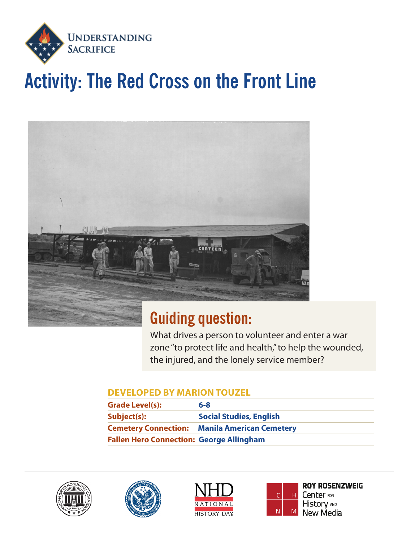

# **Activity: The Red Cross on the Front Line**



## **Guiding question:**

What drives a person to volunteer and enter a war zone "to protect life and health," to help the wounded, the injured, and the lonely service member?

### **DEVELOPED BY MARION TOUZEL**

| <b>Grade Level(s):</b>                          | $6 - 8$                         |
|-------------------------------------------------|---------------------------------|
| Subject(s):                                     | <b>Social Studies, English</b>  |
| <b>Cemetery Connection:</b>                     | <b>Manila American Cemetery</b> |
| <b>Fallen Hero Connection: George Allingham</b> |                                 |









**ROY ROSENZWEIG** Center FOR History AND New Media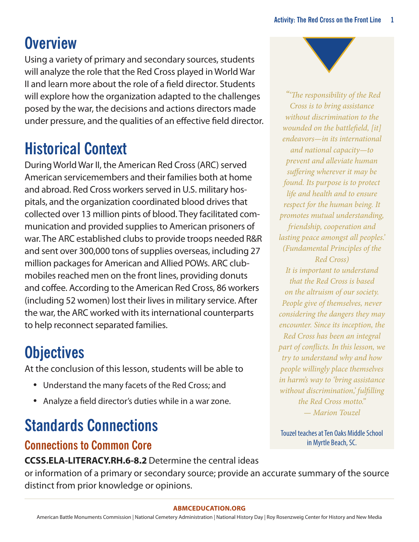## **Overview**

Using a variety of primary and secondary sources, students will analyze the role that the Red Cross played in World War II and learn more about the role of a field director. Students will explore how the organization adapted to the challenges posed by the war, the decisions and actions directors made under pressure, and the qualities of an effective field director.

## **Historical Context**

During World War II, the American Red Cross (ARC) served American servicemembers and their families both at home and abroad. Red Cross workers served in U.S. military hospitals, and the organization coordinated blood drives that collected over 13 million pints of blood. They facilitated communication and provided supplies to American prisoners of war. The ARC established clubs to provide troops needed R&R and sent over 300,000 tons of supplies overseas, including 27 million packages for American and Allied POWs. ARC clubmobiles reached men on the front lines, providing donuts and coffee. According to the American Red Cross, 86 workers (including 52 women) lost their lives in military service. After the war, the ARC worked with its international counterparts to help reconnect separated families.

## **Objectives**

At the conclusion of this lesson, students will be able to

- Understand the many facets of the Red Cross; and
- Analyze a field director's duties while in a war zone.

# **Standards Connections**

### **Connections to Common Core**

**CCSS.ELA-LITERACY.RH.6-8.2** Determine the central ideas

or information of a primary or secondary source; provide an accurate summary of the source distinct from prior knowledge or opinions.

### **[ABMCEDUCATION.ORG](http://abmceducation.org)**

American Battle Monuments Commission | National Cemetery Administration | National History Day | Roy Rosenzweig Center for History and New Media



 *"'The responsibility of the Red Cross is to bring assistance without discrimination to the wounded on the battlefield, [it] endeavors—in its international and national capacity—to prevent and alleviate human suffering wherever it may be found. Its purpose is to protect life and health and to ensure respect for the human being. It promotes mutual understanding, friendship, cooperation and lasting peace amongst all peoples.' (Fundamental Principles of the Red Cross) It is important to understand that the Red Cross is based on the altruism of our society. People give of themselves, never considering the dangers they may encounter. Since its inception, the Red Cross has been an integral part of conflicts. In this lesson, we try to understand why and how people willingly place themselves in harm's way to 'bring assistance without discrimination,' fulfilling the Red Cross motto." — Marion Touzel*

Touzel teaches at Ten Oaks Middle School in Myrtle Beach, SC.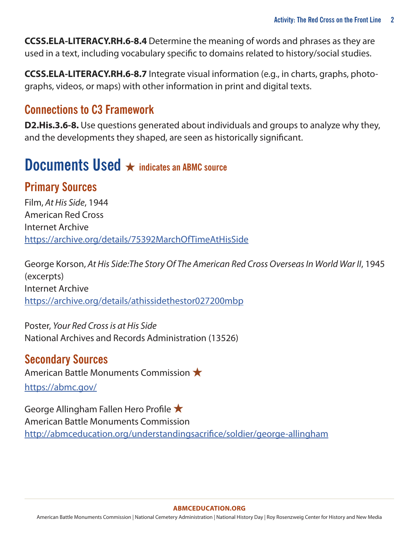**CCSS.ELA-LITERACY.RH.6-8.4** Determine the meaning of words and phrases as they are used in a text, including vocabulary specific to domains related to history/social studies.

**CCSS.ELA-LITERACY.RH.6-8.7** Integrate visual information (e.g., in charts, graphs, photographs, videos, or maps) with other information in print and digital texts.

### **Connections to C3 Framework**

**D2.His.3.6-8.** Use questions generated about individuals and groups to analyze why they, and the developments they shaped, are seen as historically significant.

### **Documents Used** ★ **indicates an ABMC source**

### **Primary Sources**

Film, *At His Side*, 1944 American Red Cross Internet Archive <https://archive.org/details/75392MarchOfTimeAtHisSide>

George Korson, At His Side: The Story Of The American Red Cross Overseas In World War II, 1945 (excerpts) Internet Archive <https://archive.org/details/athissidethestor027200mbp>

Poster, *Your Red Cross is at His Side*  National Archives and Records Administration (13526)

### **Secondary Sources**

American Battle Monuments Commission ★

<https://abmc.gov/>

George Allingham Fallen Hero Profile ★ American Battle Monuments Commission <http://abmceducation.org/understandingsacrifice/soldier/george-allingham>

#### **[ABMCEDUCATION.ORG](http://abmceducation.org)**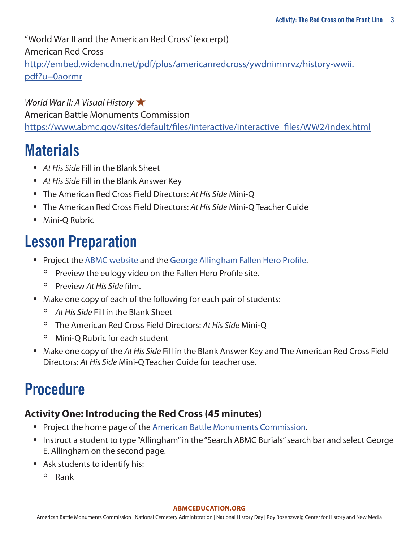"World War II and the American Red Cross" (excerpt)

American Red Cross

[http://embed.widencdn.net/pdf/plus/americanredcross/ywdnimnrvz/history-wwii.](http://embed.widencdn.net/pdf/plus/americanredcross/ywdnimnrvz/history-wwii.pdf?u=0aormr) [pdf?u=0aormr](http://embed.widencdn.net/pdf/plus/americanredcross/ywdnimnrvz/history-wwii.pdf?u=0aormr)

*World War II: A Visual History* ★ American Battle Monuments Commission [https://www.abmc.gov/sites/default/files/interactive/interactive\\_files/WW2/index.html](https://www.abmc.gov/sites/default/files/interactive/interactive_files/WW2/index.html)

### **Materials**

- *• At His Side* Fill in the Blank Sheet
- *• At His Side* Fill in the Blank Answer Key
- The American Red Cross Field Directors: *At His Side* Mini-Q
- The American Red Cross Field Directors: *At His Side* Mini-Q Teacher Guide
- Mini-Q Rubric

## **Lesson Preparation**

- Project the **ABMC** website and the [George Allingham Fallen Hero Profile.](http://abmceducation.org/understandingsacrifice/soldier/george-allingham)
	- Preview the eulogy video on the Fallen Hero Profile site.
	- Preview *At His Side* film.
- Make one copy of each of the following for each pair of students:
	- *At His Side* Fill in the Blank Sheet
	- The American Red Cross Field Directors: *At His Side* Mini-Q
	- Mini-Q Rubric for each student
- Make one copy of the *At His Side* Fill in the Blank Answer Key and The American Red Cross Field Directors: *At His Side* Mini-Q Teacher Guide for teacher use.

## **Procedure**

### **Activity One: Introducing the Red Cross (45 minutes)**

- Project the home page of the [American Battle Monuments Commission](http://www.abmc.gov).
- Instruct a student to type "Allingham" in the "Search ABMC Burials" search bar and select George E. Allingham on the second page.
- Ask students to identify his:
	- Rank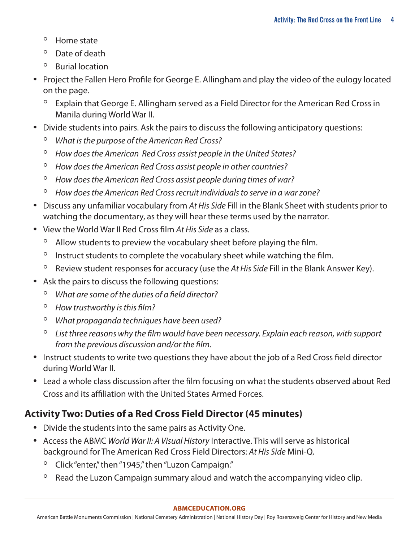- Home state
- Date of death
- Burial location
- Project the Fallen Hero Profile for George E. Allingham and play the video of the eulogy located on the page.
	- Explain that George E. Allingham served as a Field Director for the American Red Cross in Manila during World War II.
- Divide students into pairs. Ask the pairs to discuss the following anticipatory questions:
	- *What is the purpose of the American Red Cross?*
	- *How does the American Red Cross assist people in the United States?*
	- *How does the American Red Cross assist people in other countries?*
	- *How does the American Red Cross assist people during times of war?*
	- *How does the American Red Cross recruit individuals to serve in a war zone?*
- Discuss any unfamiliar vocabulary from *At His Side* Fill in the Blank Sheet with students prior to watching the documentary, as they will hear these terms used by the narrator.
- View the World War II Red Cross film *At His Side* as a class.
	- Allow students to preview the vocabulary sheet before playing the film.
	- Instruct students to complete the vocabulary sheet while watching the film.
	- Review student responses for accuracy (use the *At His Side* Fill in the Blank Answer Key).
- Ask the pairs to discuss the following questions:
	- *What are some of the duties of a field director?*
	- *How trustworthy is this film?*
	- *What propaganda techniques have been used?*
	- *List three reasons why the film would have been necessary. Explain each reason, with support from the previous discussion and/or the film.*
- Instruct students to write two questions they have about the job of a Red Cross field director during World War II.
- Lead a whole class discussion after the film focusing on what the students observed about Red Cross and its affiliation with the United States Armed Forces.

### **Activity Two: Duties of a Red Cross Field Director (45 minutes)**

- Divide the students into the same pairs as Activity One.
- Access the ABMC *World War II: A Visual History* Interactive. This will serve as historical background for The American Red Cross Field Directors: *At His Side* Mini-Q.
	- Click "enter," then "1945," then "Luzon Campaign."
	- Read the Luzon Campaign summary aloud and watch the accompanying video clip.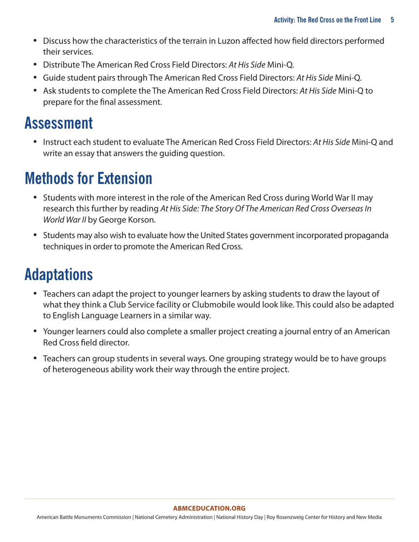- Discuss how the characteristics of the terrain in Luzon affected how field directors performed their services.
- Distribute The American Red Cross Field Directors: *At His Side* Mini-Q.
- Guide student pairs through The American Red Cross Field Directors: *At His Side* Mini-Q.
- Ask students to complete the The American Red Cross Field Directors: *At His Side* Mini-Q to prepare for the final assessment.

## **Assessment**

• Instruct each student to evaluate The American Red Cross Field Directors: *At His Side* Mini-Q and write an essay that answers the guiding question.

## **Methods for Extension**

- Students with more interest in the role of the American Red Cross during World War II may research this further by reading *At His Side: The Story Of The American Red Cross Overseas In World War II* by George Korson.
- Students may also wish to evaluate how the United States government incorporated propaganda techniques in order to promote the American Red Cross.

## **Adaptations**

- Teachers can adapt the project to younger learners by asking students to draw the layout of what they think a Club Service facility or Clubmobile would look like. This could also be adapted to English Language Learners in a similar way.
- Younger learners could also complete a smaller project creating a journal entry of an American Red Cross field director.
- Teachers can group students in several ways. One grouping strategy would be to have groups of heterogeneous ability work their way through the entire project.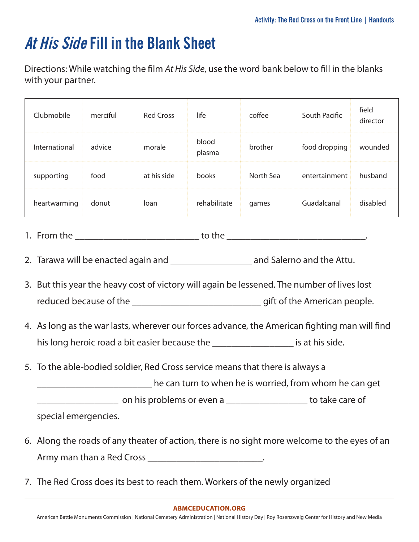## **At His Side Fill in the Blank Sheet**

Directions: While watching the film *At His Side*, use the word bank below to fill in the blanks with your partner.

| Clubmobile    | merciful | <b>Red Cross</b> | life            | coffee    | South Pacific | field<br>director |
|---------------|----------|------------------|-----------------|-----------|---------------|-------------------|
| International | advice   | morale           | blood<br>plasma | brother   | food dropping | wounded           |
| supporting    | food     | at his side      | books           | North Sea | entertainment | husband           |
| heartwarming  | donut    | loan             | rehabilitate    | games     | Guadalcanal   | disabled          |

- 1. From the \_\_\_\_\_\_\_\_\_\_\_\_\_\_\_\_\_\_\_\_\_\_\_\_\_\_ to the \_\_\_\_\_\_\_\_\_\_\_\_\_\_\_\_\_\_\_\_\_\_\_\_\_\_\_\_\_.
- 2. Tarawa will be enacted again and \_\_\_\_\_\_\_\_\_\_\_\_\_\_\_\_\_\_\_\_\_\_\_\_ and Salerno and the Attu.
- 3. But this year the heavy cost of victory will again be lessened. The number of lives lost reduced because of the **the case of the case of the American people.**
- 4. As long as the war lasts, wherever our forces advance, the American fighting man will find his long heroic road a bit easier because the \_\_\_\_\_\_\_\_\_\_\_\_\_\_\_\_\_\_\_\_\_\_ is at his side.
- 5. To the able-bodied soldier, Red Cross service means that there is always a

\_\_\_\_\_\_\_\_\_\_\_\_\_\_\_\_\_\_\_\_\_\_\_\_ he can turn to when he is worried, from whom he can get

\_\_\_\_\_\_\_\_\_\_\_\_\_\_\_\_\_ on his problems or even a \_\_\_\_\_\_\_\_\_\_\_\_\_\_\_\_\_ to take care of

special emergencies.

- 6. Along the roads of any theater of action, there is no sight more welcome to the eyes of an Army man than a Red Cross \_\_\_\_\_\_\_\_\_\_\_\_\_\_\_\_\_\_\_\_\_\_\_\_\_\_\_\_.
- 7. The Red Cross does its best to reach them. Workers of the newly organized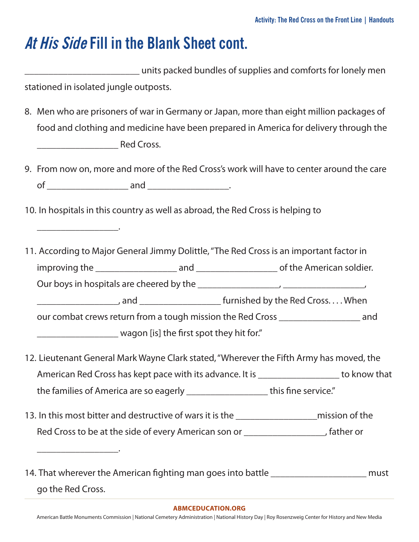### **At His Side Fill in the Blank Sheet cont.**

\_\_\_\_\_\_\_\_\_\_\_\_\_\_\_\_\_\_\_\_\_\_\_\_ units packed bundles of supplies and comforts for lonely men stationed in isolated jungle outposts.

- 8. Men who are prisoners of war in Germany or Japan, more than eight million packages of food and clothing and medicine have been prepared in America for delivery through the \_\_\_\_\_\_\_\_\_\_\_\_\_\_\_\_\_ Red Cross.
- 9. From now on, more and more of the Red Cross's work will have to center around the care  $\circ$  f  $\qquad \qquad \text{and} \qquad \qquad \ldots$
- 10. In hospitals in this country as well as abroad, the Red Cross is helping to

\_\_\_\_\_\_\_\_\_\_\_\_\_\_\_\_\_.

\_\_\_\_\_\_\_\_\_\_\_\_\_\_\_\_\_.

- 11. According to Major General Jimmy Dolittle, "The Red Cross is an important factor in improving the \_\_\_\_\_\_\_\_\_\_\_\_\_\_\_\_\_ and \_\_\_\_\_\_\_\_\_\_\_\_\_\_\_\_\_ of the American soldier. Our boys in hospitals are cheered by the  $\overline{a}$ \_\_\_\_\_\_\_\_\_\_\_\_\_\_\_\_\_, and \_\_\_\_\_\_\_\_\_\_\_\_\_\_\_\_\_ furnished by the Red Cross. . . . When our combat crews return from a tough mission the Red Cross \_\_\_\_\_\_\_\_\_\_\_\_\_\_\_\_\_ and \_\_\_\_\_\_\_\_\_\_\_\_\_\_\_\_\_ wagon [is] the first spot they hit for."
- 12. Lieutenant General Mark Wayne Clark stated, "Wherever the Fifth Army has moved, the American Red Cross has kept pace with its advance. It is \_\_\_\_\_\_\_\_\_\_\_\_\_\_\_\_\_\_\_ to know that the families of America are so eagerly \_\_\_\_\_\_\_\_\_\_\_\_\_\_\_\_\_ this fine service."
- 13. In this most bitter and destructive of wars it is the mission of the Red Cross to be at the side of every American son or \_\_\_\_\_\_\_\_\_\_\_\_\_\_\_\_\_, father or
- 14. That wherever the American fighting man goes into battle **14.** That wherever the American fighting man goes into battle go the Red Cross.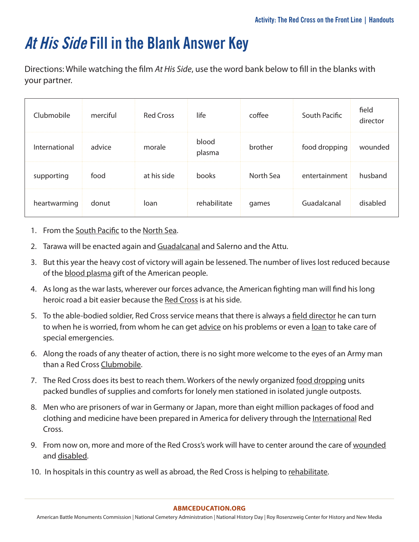## **At His Side Fill in the Blank Answer Key**

Directions: While watching the film *At His Side*, use the word bank below to fill in the blanks with your partner.

| Clubmobile    | merciful | <b>Red Cross</b> | life            | coffee    | South Pacific | field<br>director |
|---------------|----------|------------------|-----------------|-----------|---------------|-------------------|
| International | advice   | morale           | blood<br>plasma | brother   | food dropping | wounded           |
| supporting    | food     | at his side      | books           | North Sea | entertainment | husband           |
| heartwarming  | donut    | loan             | rehabilitate    | games     | Guadalcanal   | disabled          |

- 1. From the South Pacific to the North Sea.
- 2. Tarawa will be enacted again and Guadalcanal and Salerno and the Attu.
- 3. But this year the heavy cost of victory will again be lessened. The number of lives lost reduced because of the **blood plasma** gift of the American people.
- 4. As long as the war lasts, wherever our forces advance, the American fighting man will find his long heroic road a bit easier because the Red Cross is at his side.
- 5. To the able-bodied soldier, Red Cross service means that there is always a field director he can turn to when he is worried, from whom he can get advice on his problems or even a loan to take care of special emergencies.
- 6. Along the roads of any theater of action, there is no sight more welcome to the eyes of an Army man than a Red Cross Clubmobile.
- 7. The Red Cross does its best to reach them. Workers of the newly organized food dropping units packed bundles of supplies and comforts for lonely men stationed in isolated jungle outposts.
- 8. Men who are prisoners of war in Germany or Japan, more than eight million packages of food and clothing and medicine have been prepared in America for delivery through the International Red Cross.
- 9. From now on, more and more of the Red Cross's work will have to center around the care of wounded and disabled.
- 10. In hospitals in this country as well as abroad, the Red Cross is helping to rehabilitate.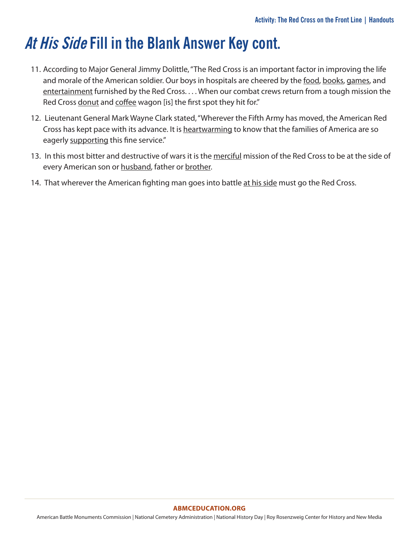## **At His Side Fill in the Blank Answer Key cont.**

- 11. According to Major General Jimmy Dolittle, "The Red Cross is an important factor in improving the life and morale of the American soldier. Our boys in hospitals are cheered by the food, books, games, and entertainment furnished by the Red Cross. . . . When our combat crews return from a tough mission the Red Cross donut and coffee wagon [is] the first spot they hit for."
- 12. Lieutenant General Mark Wayne Clark stated, "Wherever the Fifth Army has moved, the American Red Cross has kept pace with its advance. It is heartwarming to know that the families of America are so eagerly supporting this fine service."
- 13. In this most bitter and destructive of wars it is the merciful mission of the Red Cross to be at the side of every American son or husband, father or brother.
- 14. That wherever the American fighting man goes into battle at his side must go the Red Cross.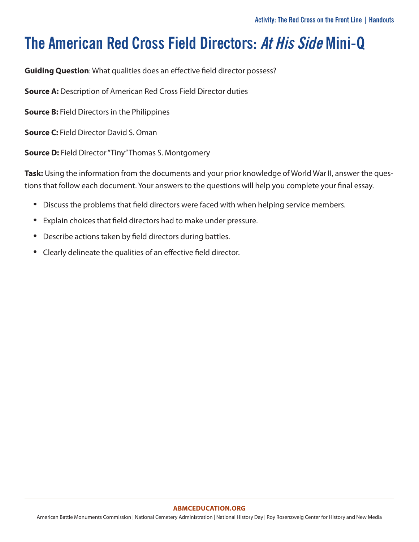**Guiding Question**: What qualities does an effective field director possess?

**Source A:** Description of American Red Cross Field Director duties

**Source B:** Field Directors in the Philippines

**Source C:** Field Director David S. Oman

**Source D:** Field Director "Tiny" Thomas S. Montgomery

**Task:** Using the information from the documents and your prior knowledge of World War II, answer the questions that follow each document. Your answers to the questions will help you complete your final essay.

- Discuss the problems that field directors were faced with when helping service members.
- Explain choices that field directors had to make under pressure.
- Describe actions taken by field directors during battles.
- Clearly delineate the qualities of an effective field director.

#### **[ABMCEDUCATION.ORG](http://abmceducation.org)**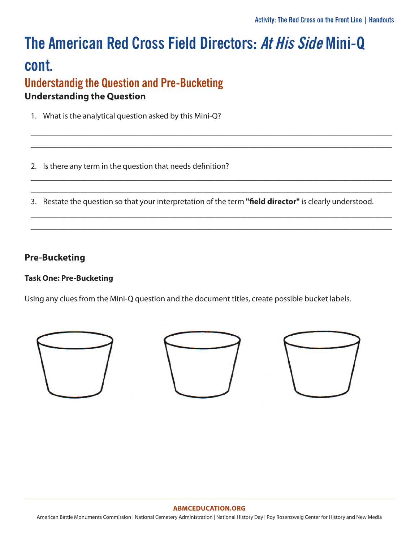### **Understandig the Question and Pre-Bucketing Understanding the Question**

- 1. What is the analytical question asked by this Mini-Q?
- 2. Is there any term in the question that needs definition?
- 3. Restate the question so that your interpretation of the term "field director" is clearly understood.

\_\_\_\_\_\_\_\_\_\_\_\_\_\_\_\_\_\_\_\_\_\_\_\_\_\_\_\_\_\_\_\_\_\_\_\_\_\_\_\_\_\_\_\_\_\_\_\_\_\_\_\_\_\_\_\_\_\_\_\_\_\_\_\_\_\_\_\_\_\_\_\_\_\_\_\_\_\_\_\_\_\_\_\_\_\_\_\_ \_\_\_\_\_\_\_\_\_\_\_\_\_\_\_\_\_\_\_\_\_\_\_\_\_\_\_\_\_\_\_\_\_\_\_\_\_\_\_\_\_\_\_\_\_\_\_\_\_\_\_\_\_\_\_\_\_\_\_\_\_\_\_\_\_\_\_\_\_\_\_\_\_\_\_\_\_\_\_\_\_\_\_\_\_\_\_\_

\_\_\_\_\_\_\_\_\_\_\_\_\_\_\_\_\_\_\_\_\_\_\_\_\_\_\_\_\_\_\_\_\_\_\_\_\_\_\_\_\_\_\_\_\_\_\_\_\_\_\_\_\_\_\_\_\_\_\_\_\_\_\_\_\_\_\_\_\_\_\_\_\_\_\_\_\_\_\_\_\_\_\_\_\_\_\_\_ \_\_\_\_\_\_\_\_\_\_\_\_\_\_\_\_\_\_\_\_\_\_\_\_\_\_\_\_\_\_\_\_\_\_\_\_\_\_\_\_\_\_\_\_\_\_\_\_\_\_\_\_\_\_\_\_\_\_\_\_\_\_\_\_\_\_\_\_\_\_\_\_\_\_\_\_\_\_\_\_\_\_\_\_\_\_\_\_

\_\_\_\_\_\_\_\_\_\_\_\_\_\_\_\_\_\_\_\_\_\_\_\_\_\_\_\_\_\_\_\_\_\_\_\_\_\_\_\_\_\_\_\_\_\_\_\_\_\_\_\_\_\_\_\_\_\_\_\_\_\_\_\_\_\_\_\_\_\_\_\_\_\_\_\_\_\_\_\_\_\_\_\_\_\_\_\_ \_\_\_\_\_\_\_\_\_\_\_\_\_\_\_\_\_\_\_\_\_\_\_\_\_\_\_\_\_\_\_\_\_\_\_\_\_\_\_\_\_\_\_\_\_\_\_\_\_\_\_\_\_\_\_\_\_\_\_\_\_\_\_\_\_\_\_\_\_\_\_\_\_\_\_\_\_\_\_\_\_\_\_\_\_\_\_\_

### **Pre-Bucketing**

### **Task One: Pre-Bucketing**

Using any clues from the Mini-Q question and the document titles, create possible bucket labels.







#### **ABMCEDUCATION.ORG**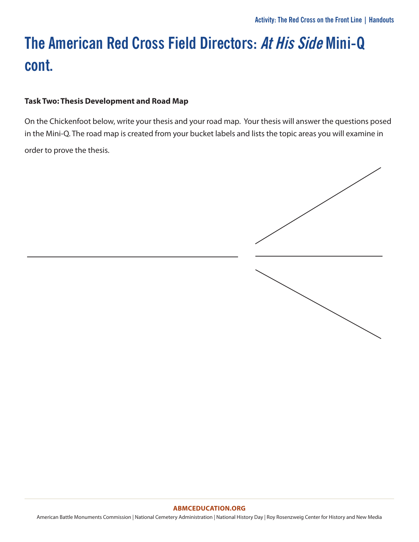### **Task Two: Thesis Development and Road Map**

On the Chickenfoot below, write your thesis and your road map. Your thesis will answer the questions posed in the Mini-Q. The road map is created from your bucket labels and lists the topic areas you will examine in order to prove the thesis.



#### **[ABMCEDUCATION.ORG](http://abmceducation.org)**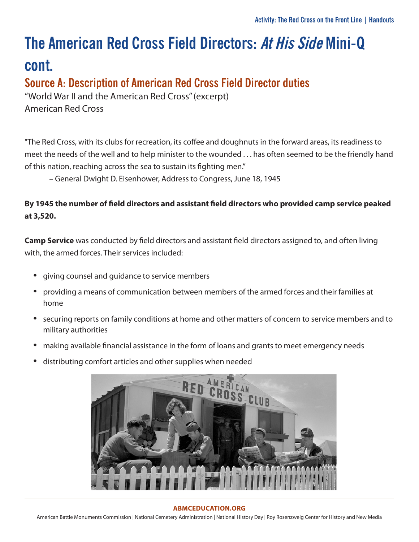### **Source A: Description of American Red Cross Field Director duties**

"World War II and the American Red Cross" (excerpt) American Red Cross

"The Red Cross, with its clubs for recreation, its coffee and doughnuts in the forward areas, its readiness to meet the needs of the well and to help minister to the wounded . . . has often seemed to be the friendly hand of this nation, reaching across the sea to sustain its fighting men."

– General Dwight D. Eisenhower, Address to Congress, June 18, 1945

### **By 1945 the number of field directors and assistant field directors who provided camp service peaked at 3,520.**

**Camp Service** was conducted by field directors and assistant field directors assigned to, and often living with, the armed forces. Their services included:

- giving counsel and guidance to service members
- providing a means of communication between members of the armed forces and their families at home
- securing reports on family conditions at home and other matters of concern to service members and to military authorities
- making available financial assistance in the form of loans and grants to meet emergency needs
- distributing comfort articles and other supplies when needed



#### **[ABMCEDUCATION.ORG](http://abmceducation.org)**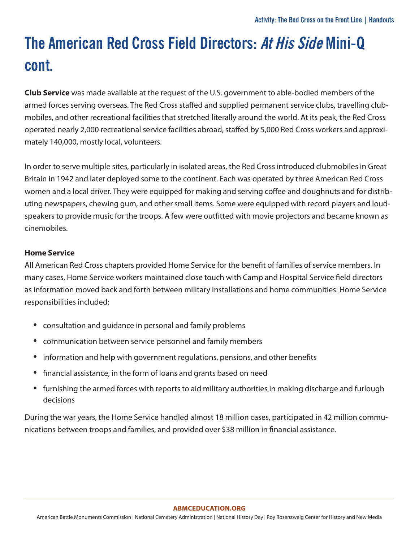**Club Service** was made available at the request of the U.S. government to able-bodied members of the armed forces serving overseas. The Red Cross staffed and supplied permanent service clubs, travelling clubmobiles, and other recreational facilities that stretched literally around the world. At its peak, the Red Cross operated nearly 2,000 recreational service facilities abroad, staffed by 5,000 Red Cross workers and approximately 140,000, mostly local, volunteers.

In order to serve multiple sites, particularly in isolated areas, the Red Cross introduced clubmobiles in Great Britain in 1942 and later deployed some to the continent. Each was operated by three American Red Cross women and a local driver. They were equipped for making and serving coffee and doughnuts and for distributing newspapers, chewing gum, and other small items. Some were equipped with record players and loudspeakers to provide music for the troops. A few were outfitted with movie projectors and became known as cinemobiles.

### **Home Service**

All American Red Cross chapters provided Home Service for the benefit of families of service members. In many cases, Home Service workers maintained close touch with Camp and Hospital Service field directors as information moved back and forth between military installations and home communities. Home Service responsibilities included:

- consultation and guidance in personal and family problems
- communication between service personnel and family members
- information and help with government regulations, pensions, and other benefits
- financial assistance, in the form of loans and grants based on need
- furnishing the armed forces with reports to aid military authorities in making discharge and furlough decisions

During the war years, the Home Service handled almost 18 million cases, participated in 42 million communications between troops and families, and provided over \$38 million in financial assistance.

#### **[ABMCEDUCATION.ORG](http://abmceducation.org)**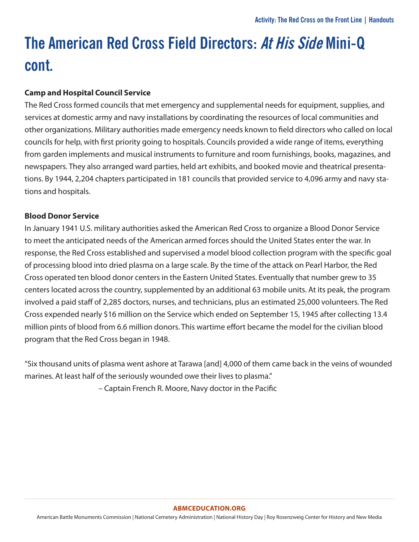### **Camp and Hospital Council Service**

The Red Cross formed councils that met emergency and supplemental needs for equipment, supplies, and services at domestic army and navy installations by coordinating the resources of local communities and other organizations. Military authorities made emergency needs known to field directors who called on local councils for help, with first priority going to hospitals. Councils provided a wide range of items, everything from garden implements and musical instruments to furniture and room furnishings, books, magazines, and newspapers. They also arranged ward parties, held art exhibits, and booked movie and theatrical presentations. By 1944, 2,204 chapters participated in 181 councils that provided service to 4,096 army and navy stations and hospitals.

### **Blood Donor Service**

In January 1941 U.S. military authorities asked the American Red Cross to organize a Blood Donor Service to meet the anticipated needs of the American armed forces should the United States enter the war. In response, the Red Cross established and supervised a model blood collection program with the specific goal of processing blood into dried plasma on a large scale. By the time of the attack on Pearl Harbor, the Red Cross operated ten blood donor centers in the Eastern United States. Eventually that number grew to 35 centers located across the country, supplemented by an additional 63 mobile units. At its peak, the program involved a paid staff of 2,285 doctors, nurses, and technicians, plus an estimated 25,000 volunteers. The Red Cross expended nearly \$16 million on the Service which ended on September 15, 1945 after collecting 13.4 million pints of blood from 6.6 million donors. This wartime effort became the model for the civilian blood program that the Red Cross began in 1948.

"Six thousand units of plasma went ashore at Tarawa [and] 4,000 of them came back in the veins of wounded marines. At least half of the seriously wounded owe their lives to plasma."

– Captain French R. Moore, Navy doctor in the Pacific

#### **[ABMCEDUCATION.ORG](http://abmceducation.org)**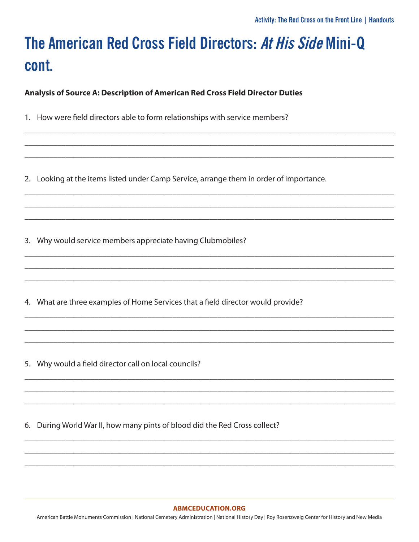Analysis of Source A: Description of American Red Cross Field Director Duties

- 1. How were field directors able to form relationships with service members?
- 2. Looking at the items listed under Camp Service, arrange them in order of importance.

3. Why would service members appreciate having Clubmobiles?

4. What are three examples of Home Services that a field director would provide?

5. Why would a field director call on local councils?

6. During World War II, how many pints of blood did the Red Cross collect?

#### **ABMCEDUCATION.ORG**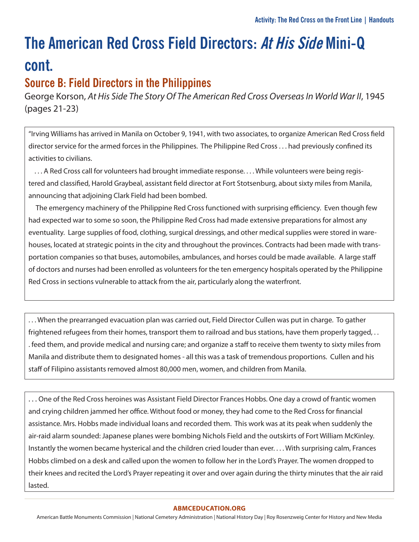### **Source B: Field Directors in the Philippines**

George Korson, At His Side The Story Of The American Red Cross Overseas In World War II, 1945 (pages 21-23)

"Irving Williams has arrived in Manila on October 9, 1941, with two associates, to organize American Red Cross field director service for the armed forces in the Philippines. The Philippine Red Cross . . . had previously confined its activities to civilians.

 . . . A Red Cross call for volunteers had brought immediate response. . . . While volunteers were being registered and classified, Harold Graybeal, assistant field director at Fort Stotsenburg, about sixty miles from Manila, announcing that adjoining Clark Field had been bombed.

 The emergency machinery of the Philippine Red Cross functioned with surprising efficiency. Even though few had expected war to some so soon, the Philippine Red Cross had made extensive preparations for almost any eventuality. Large supplies of food, clothing, surgical dressings, and other medical supplies were stored in warehouses, located at strategic points in the city and throughout the provinces. Contracts had been made with transportation companies so that buses, automobiles, ambulances, and horses could be made available. A large staff of doctors and nurses had been enrolled as volunteers for the ten emergency hospitals operated by the Philippine Red Cross in sections vulnerable to attack from the air, particularly along the waterfront.

. . . When the prearranged evacuation plan was carried out, Field Director Cullen was put in charge. To gather frightened refugees from their homes, transport them to railroad and bus stations, have them properly tagged, . . . feed them, and provide medical and nursing care; and organize a staff to receive them twenty to sixty miles from Manila and distribute them to designated homes - all this was a task of tremendous proportions. Cullen and his staff of Filipino assistants removed almost 80,000 men, women, and children from Manila.

. . . One of the Red Cross heroines was Assistant Field Director Frances Hobbs. One day a crowd of frantic women and crying children jammed her office. Without food or money, they had come to the Red Cross for financial assistance. Mrs. Hobbs made individual loans and recorded them. This work was at its peak when suddenly the air-raid alarm sounded: Japanese planes were bombing Nichols Field and the outskirts of Fort William McKinley. Instantly the women became hysterical and the children cried louder than ever. . . . With surprising calm, Frances Hobbs climbed on a desk and called upon the women to follow her in the Lord's Prayer. The women dropped to their knees and recited the Lord's Prayer repeating it over and over again during the thirty minutes that the air raid lasted.

#### **[ABMCEDUCATION.ORG](http://abmceducation.org)**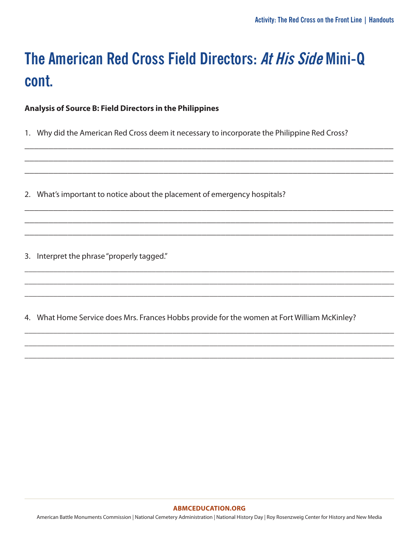**Analysis of Source B: Field Directors in the Philippines**

1. Why did the American Red Cross deem it necessary to incorporate the Philippine Red Cross?

\_\_\_\_\_\_\_\_\_\_\_\_\_\_\_\_\_\_\_\_\_\_\_\_\_\_\_\_\_\_\_\_\_\_\_\_\_\_\_\_\_\_\_\_\_\_\_\_\_\_\_\_\_\_\_\_\_\_\_\_\_\_\_\_\_\_\_\_\_\_\_\_\_\_\_\_\_ \_\_\_\_\_\_\_\_\_\_\_\_\_\_\_\_\_\_\_\_\_\_\_\_\_\_\_\_\_\_\_\_\_\_\_\_\_\_\_\_\_\_\_\_\_\_\_\_\_\_\_\_\_\_\_\_\_\_\_\_\_\_\_\_\_\_\_\_\_\_\_\_\_\_\_\_\_ \_\_\_\_\_\_\_\_\_\_\_\_\_\_\_\_\_\_\_\_\_\_\_\_\_\_\_\_\_\_\_\_\_\_\_\_\_\_\_\_\_\_\_\_\_\_\_\_\_\_\_\_\_\_\_\_\_\_\_\_\_\_\_\_\_\_\_\_\_\_\_\_\_\_\_\_\_

\_\_\_\_\_\_\_\_\_\_\_\_\_\_\_\_\_\_\_\_\_\_\_\_\_\_\_\_\_\_\_\_\_\_\_\_\_\_\_\_\_\_\_\_\_\_\_\_\_\_\_\_\_\_\_\_\_\_\_\_\_\_\_\_\_\_\_\_\_\_\_\_\_\_\_\_\_ \_\_\_\_\_\_\_\_\_\_\_\_\_\_\_\_\_\_\_\_\_\_\_\_\_\_\_\_\_\_\_\_\_\_\_\_\_\_\_\_\_\_\_\_\_\_\_\_\_\_\_\_\_\_\_\_\_\_\_\_\_\_\_\_\_\_\_\_\_\_\_\_\_\_\_\_\_ \_\_\_\_\_\_\_\_\_\_\_\_\_\_\_\_\_\_\_\_\_\_\_\_\_\_\_\_\_\_\_\_\_\_\_\_\_\_\_\_\_\_\_\_\_\_\_\_\_\_\_\_\_\_\_\_\_\_\_\_\_\_\_\_\_\_\_\_\_\_\_\_\_\_\_\_\_

\_\_\_\_\_\_\_\_\_\_\_\_\_\_\_\_\_\_\_\_\_\_\_\_\_\_\_\_\_\_\_\_\_\_\_\_\_\_\_\_\_\_\_\_\_\_\_\_\_\_\_\_\_\_\_\_\_\_\_\_\_\_\_\_\_\_\_\_\_\_\_\_\_\_\_\_\_\_\_\_\_\_\_\_\_\_\_\_\_\_ \_\_\_\_\_\_\_\_\_\_\_\_\_\_\_\_\_\_\_\_\_\_\_\_\_\_\_\_\_\_\_\_\_\_\_\_\_\_\_\_\_\_\_\_\_\_\_\_\_\_\_\_\_\_\_\_\_\_\_\_\_\_\_\_\_\_\_\_\_\_\_\_\_\_\_\_\_\_\_\_\_\_\_\_\_\_\_\_\_\_ \_\_\_\_\_\_\_\_\_\_\_\_\_\_\_\_\_\_\_\_\_\_\_\_\_\_\_\_\_\_\_\_\_\_\_\_\_\_\_\_\_\_\_\_\_\_\_\_\_\_\_\_\_\_\_\_\_\_\_\_\_\_\_\_\_\_\_\_\_\_\_\_\_\_\_\_\_\_\_\_\_\_\_\_\_\_\_\_\_\_

\_\_\_\_\_\_\_\_\_\_\_\_\_\_\_\_\_\_\_\_\_\_\_\_\_\_\_\_\_\_\_\_\_\_\_\_\_\_\_\_\_\_\_\_\_\_\_\_\_\_\_\_\_\_\_\_\_\_\_\_\_\_\_\_\_\_\_\_\_\_\_\_\_\_\_\_\_\_\_\_\_\_\_\_\_\_\_\_\_\_ \_\_\_\_\_\_\_\_\_\_\_\_\_\_\_\_\_\_\_\_\_\_\_\_\_\_\_\_\_\_\_\_\_\_\_\_\_\_\_\_\_\_\_\_\_\_\_\_\_\_\_\_\_\_\_\_\_\_\_\_\_\_\_\_\_\_\_\_\_\_\_\_\_\_\_\_\_\_\_\_\_\_\_\_\_\_\_\_\_\_ \_\_\_\_\_\_\_\_\_\_\_\_\_\_\_\_\_\_\_\_\_\_\_\_\_\_\_\_\_\_\_\_\_\_\_\_\_\_\_\_\_\_\_\_\_\_\_\_\_\_\_\_\_\_\_\_\_\_\_\_\_\_\_\_\_\_\_\_\_\_\_\_\_\_\_\_\_\_\_\_\_\_\_\_\_\_\_\_\_\_

2. What's important to notice about the placement of emergency hospitals?

3. Interpret the phrase "properly tagged."

4. What Home Service does Mrs. Frances Hobbs provide for the women at Fort William McKinley?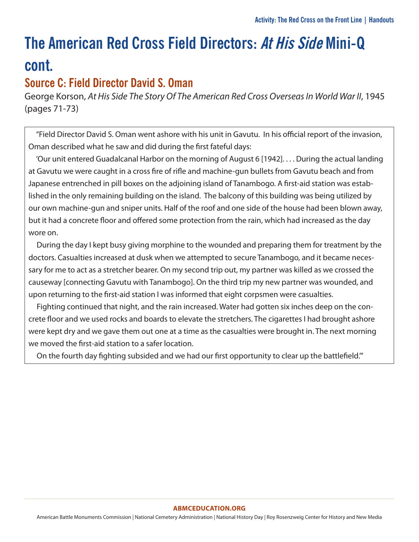### **Source C: Field Director David S. Oman**

George Korson, At His Side The Story Of The American Red Cross Overseas In World War II, 1945 (pages 71-73)

 "Field Director David S. Oman went ashore with his unit in Gavutu. In his official report of the invasion, Oman described what he saw and did during the first fateful days:

 'Our unit entered Guadalcanal Harbor on the morning of August 6 [1942]. . . . During the actual landing at Gavutu we were caught in a cross fire of rifle and machine-gun bullets from Gavutu beach and from Japanese entrenched in pill boxes on the adjoining island of Tanambogo. A first-aid station was established in the only remaining building on the island. The balcony of this building was being utilized by our own machine-gun and sniper units. Half of the roof and one side of the house had been blown away, but it had a concrete floor and offered some protection from the rain, which had increased as the day wore on.

 During the day I kept busy giving morphine to the wounded and preparing them for treatment by the doctors. Casualties increased at dusk when we attempted to secure Tanambogo, and it became necessary for me to act as a stretcher bearer. On my second trip out, my partner was killed as we crossed the causeway [connecting Gavutu with Tanambogo]. On the third trip my new partner was wounded, and upon returning to the first-aid station I was informed that eight corpsmen were casualties.

 Fighting continued that night, and the rain increased. Water had gotten six inches deep on the concrete floor and we used rocks and boards to elevate the stretchers. The cigarettes I had brought ashore were kept dry and we gave them out one at a time as the casualties were brought in. The next morning we moved the first-aid station to a safer location.

On the fourth day fighting subsided and we had our first opportunity to clear up the battlefield.'"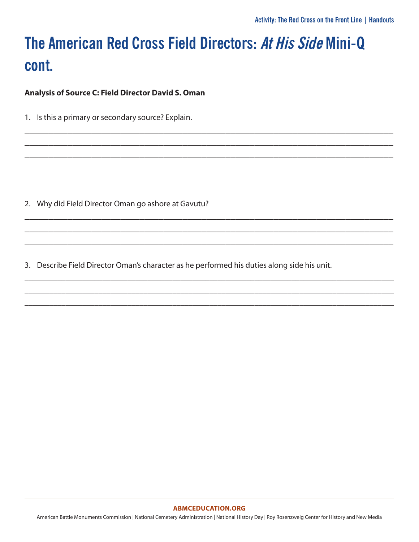\_\_\_\_\_\_\_\_\_\_\_\_\_\_\_\_\_\_\_\_\_\_\_\_\_\_\_\_\_\_\_\_\_\_\_\_\_\_\_\_\_\_\_\_\_\_\_\_\_\_\_\_\_\_\_\_\_\_\_\_\_\_\_\_\_\_\_\_\_\_\_\_\_\_\_\_\_ \_\_\_\_\_\_\_\_\_\_\_\_\_\_\_\_\_\_\_\_\_\_\_\_\_\_\_\_\_\_\_\_\_\_\_\_\_\_\_\_\_\_\_\_\_\_\_\_\_\_\_\_\_\_\_\_\_\_\_\_\_\_\_\_\_\_\_\_\_\_\_\_\_\_\_\_\_ \_\_\_\_\_\_\_\_\_\_\_\_\_\_\_\_\_\_\_\_\_\_\_\_\_\_\_\_\_\_\_\_\_\_\_\_\_\_\_\_\_\_\_\_\_\_\_\_\_\_\_\_\_\_\_\_\_\_\_\_\_\_\_\_\_\_\_\_\_\_\_\_\_\_\_\_\_

\_\_\_\_\_\_\_\_\_\_\_\_\_\_\_\_\_\_\_\_\_\_\_\_\_\_\_\_\_\_\_\_\_\_\_\_\_\_\_\_\_\_\_\_\_\_\_\_\_\_\_\_\_\_\_\_\_\_\_\_\_\_\_\_\_\_\_\_\_\_\_\_\_\_\_\_\_ \_\_\_\_\_\_\_\_\_\_\_\_\_\_\_\_\_\_\_\_\_\_\_\_\_\_\_\_\_\_\_\_\_\_\_\_\_\_\_\_\_\_\_\_\_\_\_\_\_\_\_\_\_\_\_\_\_\_\_\_\_\_\_\_\_\_\_\_\_\_\_\_\_\_\_\_\_ \_\_\_\_\_\_\_\_\_\_\_\_\_\_\_\_\_\_\_\_\_\_\_\_\_\_\_\_\_\_\_\_\_\_\_\_\_\_\_\_\_\_\_\_\_\_\_\_\_\_\_\_\_\_\_\_\_\_\_\_\_\_\_\_\_\_\_\_\_\_\_\_\_\_\_\_\_

\_\_\_\_\_\_\_\_\_\_\_\_\_\_\_\_\_\_\_\_\_\_\_\_\_\_\_\_\_\_\_\_\_\_\_\_\_\_\_\_\_\_\_\_\_\_\_\_\_\_\_\_\_\_\_\_\_\_\_\_\_\_\_\_\_\_\_\_\_\_\_\_\_\_\_\_\_\_\_\_\_\_\_\_\_\_\_\_\_\_ \_\_\_\_\_\_\_\_\_\_\_\_\_\_\_\_\_\_\_\_\_\_\_\_\_\_\_\_\_\_\_\_\_\_\_\_\_\_\_\_\_\_\_\_\_\_\_\_\_\_\_\_\_\_\_\_\_\_\_\_\_\_\_\_\_\_\_\_\_\_\_\_\_\_\_\_\_\_\_\_\_\_\_\_\_\_\_\_\_\_ \_\_\_\_\_\_\_\_\_\_\_\_\_\_\_\_\_\_\_\_\_\_\_\_\_\_\_\_\_\_\_\_\_\_\_\_\_\_\_\_\_\_\_\_\_\_\_\_\_\_\_\_\_\_\_\_\_\_\_\_\_\_\_\_\_\_\_\_\_\_\_\_\_\_\_\_\_\_\_\_\_\_\_\_\_\_\_\_\_\_

**Analysis of Source C: Field Director David S. Oman**

1. Is this a primary or secondary source? Explain.

2. Why did Field Director Oman go ashore at Gavutu?

3. Describe Field Director Oman's character as he performed his duties along side his unit.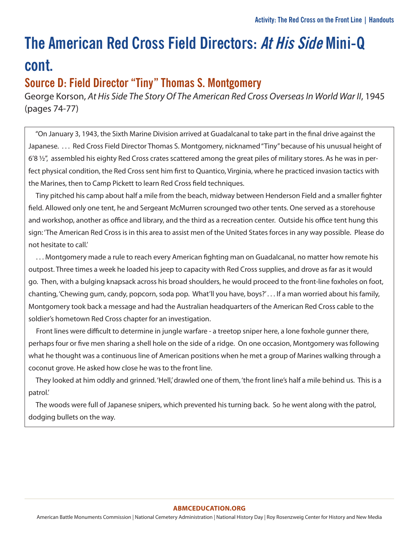### **Source D: Field Director "Tiny" Thomas S. Montgomery**

George Korson, At His Side The Story Of The American Red Cross Overseas In World War II, 1945 (pages 74-77)

 "On January 3, 1943, the Sixth Marine Division arrived at Guadalcanal to take part in the final drive against the Japanese. . . . Red Cross Field Director Thomas S. Montgomery, nicknamed "Tiny" because of his unusual height of 6'8 ½", assembled his eighty Red Cross crates scattered among the great piles of military stores. As he was in perfect physical condition, the Red Cross sent him first to Quantico, Virginia, where he practiced invasion tactics with the Marines, then to Camp Pickett to learn Red Cross field techniques.

 Tiny pitched his camp about half a mile from the beach, midway between Henderson Field and a smaller fighter field. Allowed only one tent, he and Sergeant McMurren scrounged two other tents. One served as a storehouse and workshop, another as office and library, and the third as a recreation center. Outside his office tent hung this sign: 'The American Red Cross is in this area to assist men of the United States forces in any way possible. Please do not hesitate to call.'

 . . . Montgomery made a rule to reach every American fighting man on Guadalcanal, no matter how remote his outpost. Three times a week he loaded his jeep to capacity with Red Cross supplies, and drove as far as it would go. Then, with a bulging knapsack across his broad shoulders, he would proceed to the front-line foxholes on foot, chanting, 'Chewing gum, candy, popcorn, soda pop. What'll you have, boys?' . . . If a man worried about his family, Montgomery took back a message and had the Australian headquarters of the American Red Cross cable to the soldier's hometown Red Cross chapter for an investigation.

 Front lines were difficult to determine in jungle warfare - a treetop sniper here, a lone foxhole gunner there, perhaps four or five men sharing a shell hole on the side of a ridge. On one occasion, Montgomery was following what he thought was a continuous line of American positions when he met a group of Marines walking through a coconut grove. He asked how close he was to the front line.

They looked at him oddly and grinned. 'Hell,' drawled one of them, 'the front line's half a mile behind us. This is a patrol.'

 The woods were full of Japanese snipers, which prevented his turning back. So he went along with the patrol, dodging bullets on the way.

#### **[ABMCEDUCATION.ORG](http://abmceducation.org)**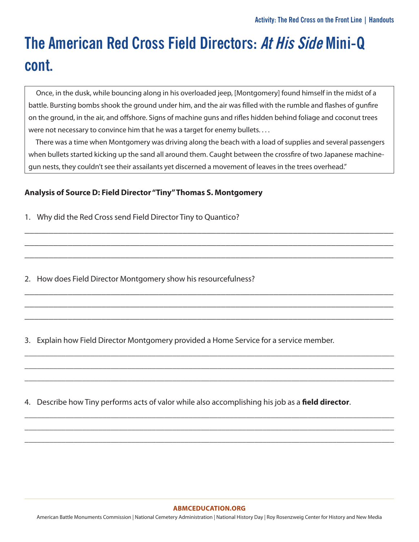Once, in the dusk, while bouncing along in his overloaded jeep, [Montgomery] found himself in the midst of a battle. Bursting bombs shook the ground under him, and the air was filled with the rumble and flashes of gunfire on the ground, in the air, and offshore. Signs of machine guns and rifles hidden behind foliage and coconut trees were not necessary to convince him that he was a target for enemy bullets....

 There was a time when Montgomery was driving along the beach with a load of supplies and several passengers when bullets started kicking up the sand all around them. Caught between the crossfire of two Japanese machinegun nests, they couldn't see their assailants yet discerned a movement of leaves in the trees overhead."

\_\_\_\_\_\_\_\_\_\_\_\_\_\_\_\_\_\_\_\_\_\_\_\_\_\_\_\_\_\_\_\_\_\_\_\_\_\_\_\_\_\_\_\_\_\_\_\_\_\_\_\_\_\_\_\_\_\_\_\_\_\_\_\_\_\_\_\_\_\_\_\_\_\_\_\_\_ \_\_\_\_\_\_\_\_\_\_\_\_\_\_\_\_\_\_\_\_\_\_\_\_\_\_\_\_\_\_\_\_\_\_\_\_\_\_\_\_\_\_\_\_\_\_\_\_\_\_\_\_\_\_\_\_\_\_\_\_\_\_\_\_\_\_\_\_\_\_\_\_\_\_\_\_\_ \_\_\_\_\_\_\_\_\_\_\_\_\_\_\_\_\_\_\_\_\_\_\_\_\_\_\_\_\_\_\_\_\_\_\_\_\_\_\_\_\_\_\_\_\_\_\_\_\_\_\_\_\_\_\_\_\_\_\_\_\_\_\_\_\_\_\_\_\_\_\_\_\_\_\_\_\_

\_\_\_\_\_\_\_\_\_\_\_\_\_\_\_\_\_\_\_\_\_\_\_\_\_\_\_\_\_\_\_\_\_\_\_\_\_\_\_\_\_\_\_\_\_\_\_\_\_\_\_\_\_\_\_\_\_\_\_\_\_\_\_\_\_\_\_\_\_\_\_\_\_\_\_\_\_ \_\_\_\_\_\_\_\_\_\_\_\_\_\_\_\_\_\_\_\_\_\_\_\_\_\_\_\_\_\_\_\_\_\_\_\_\_\_\_\_\_\_\_\_\_\_\_\_\_\_\_\_\_\_\_\_\_\_\_\_\_\_\_\_\_\_\_\_\_\_\_\_\_\_\_\_\_ \_\_\_\_\_\_\_\_\_\_\_\_\_\_\_\_\_\_\_\_\_\_\_\_\_\_\_\_\_\_\_\_\_\_\_\_\_\_\_\_\_\_\_\_\_\_\_\_\_\_\_\_\_\_\_\_\_\_\_\_\_\_\_\_\_\_\_\_\_\_\_\_\_\_\_\_\_

\_\_\_\_\_\_\_\_\_\_\_\_\_\_\_\_\_\_\_\_\_\_\_\_\_\_\_\_\_\_\_\_\_\_\_\_\_\_\_\_\_\_\_\_\_\_\_\_\_\_\_\_\_\_\_\_\_\_\_\_\_\_\_\_\_\_\_\_\_\_\_\_\_\_\_\_\_\_\_\_\_\_\_\_\_\_\_\_\_\_ \_\_\_\_\_\_\_\_\_\_\_\_\_\_\_\_\_\_\_\_\_\_\_\_\_\_\_\_\_\_\_\_\_\_\_\_\_\_\_\_\_\_\_\_\_\_\_\_\_\_\_\_\_\_\_\_\_\_\_\_\_\_\_\_\_\_\_\_\_\_\_\_\_\_\_\_\_\_\_\_\_\_\_\_\_\_\_\_\_\_ \_\_\_\_\_\_\_\_\_\_\_\_\_\_\_\_\_\_\_\_\_\_\_\_\_\_\_\_\_\_\_\_\_\_\_\_\_\_\_\_\_\_\_\_\_\_\_\_\_\_\_\_\_\_\_\_\_\_\_\_\_\_\_\_\_\_\_\_\_\_\_\_\_\_\_\_\_\_\_\_\_\_\_\_\_\_\_\_\_\_

\_\_\_\_\_\_\_\_\_\_\_\_\_\_\_\_\_\_\_\_\_\_\_\_\_\_\_\_\_\_\_\_\_\_\_\_\_\_\_\_\_\_\_\_\_\_\_\_\_\_\_\_\_\_\_\_\_\_\_\_\_\_\_\_\_\_\_\_\_\_\_\_\_\_\_\_\_\_\_\_\_\_\_\_\_\_\_\_\_\_ \_\_\_\_\_\_\_\_\_\_\_\_\_\_\_\_\_\_\_\_\_\_\_\_\_\_\_\_\_\_\_\_\_\_\_\_\_\_\_\_\_\_\_\_\_\_\_\_\_\_\_\_\_\_\_\_\_\_\_\_\_\_\_\_\_\_\_\_\_\_\_\_\_\_\_\_\_\_\_\_\_\_\_\_\_\_\_\_\_\_ \_\_\_\_\_\_\_\_\_\_\_\_\_\_\_\_\_\_\_\_\_\_\_\_\_\_\_\_\_\_\_\_\_\_\_\_\_\_\_\_\_\_\_\_\_\_\_\_\_\_\_\_\_\_\_\_\_\_\_\_\_\_\_\_\_\_\_\_\_\_\_\_\_\_\_\_\_\_\_\_\_\_\_\_\_\_\_\_\_\_

### **Analysis of Source D: Field Director "Tiny" Thomas S. Montgomery**

1. Why did the Red Cross send Field Director Tiny to Quantico?

2. How does Field Director Montgomery show his resourcefulness?

3. Explain how Field Director Montgomery provided a Home Service for a service member.

4. Describe how Tiny performs acts of valor while also accomplishing his job as a **field director**.

#### **[ABMCEDUCATION.ORG](http://abmceducation.org)**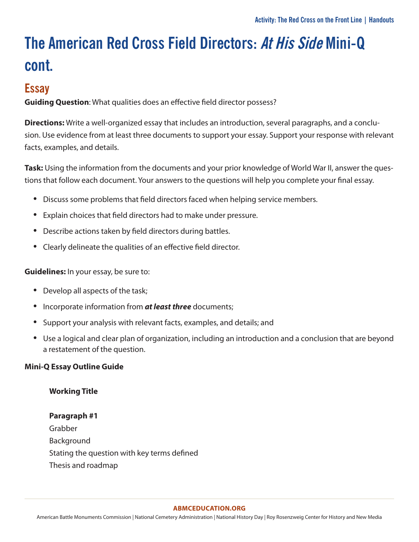### **Essay**

**Guiding Question**: What qualities does an effective field director possess?

**Directions:** Write a well-organized essay that includes an introduction, several paragraphs, and a conclusion. Use evidence from at least three documents to support your essay. Support your response with relevant facts, examples, and details.

**Task:** Using the information from the documents and your prior knowledge of World War II, answer the questions that follow each document. Your answers to the questions will help you complete your final essay.

- Discuss some problems that field directors faced when helping service members.
- Explain choices that field directors had to make under pressure.
- Describe actions taken by field directors during battles.
- Clearly delineate the qualities of an effective field director.

**Guidelines:** In your essay, be sure to:

- Develop all aspects of the task;
- Incorporate information from *at least three* documents;
- Support your analysis with relevant facts, examples, and details; and
- Use a logical and clear plan of organization, including an introduction and a conclusion that are beyond a restatement of the question.

### **Mini-Q Essay Outline Guide**

### **Working Title**

### **Paragraph #1**

Grabber Background Stating the question with key terms defined Thesis and roadmap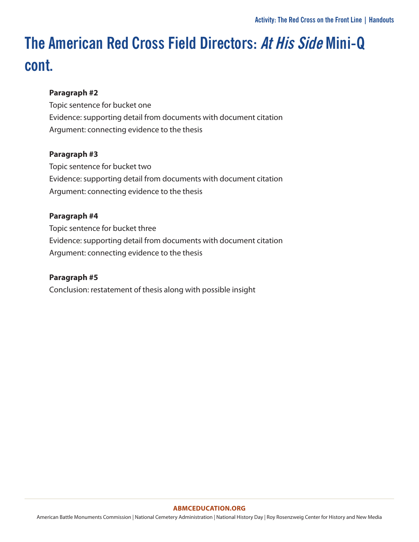### **Paragraph #2**

Topic sentence for bucket one Evidence: supporting detail from documents with document citation Argument: connecting evidence to the thesis

### **Paragraph #3**

Topic sentence for bucket two Evidence: supporting detail from documents with document citation Argument: connecting evidence to the thesis

### **Paragraph #4**

Topic sentence for bucket three Evidence: supporting detail from documents with document citation Argument: connecting evidence to the thesis

### **Paragraph #5**

Conclusion: restatement of thesis along with possible insight

#### **[ABMCEDUCATION.ORG](http://abmceducation.org)**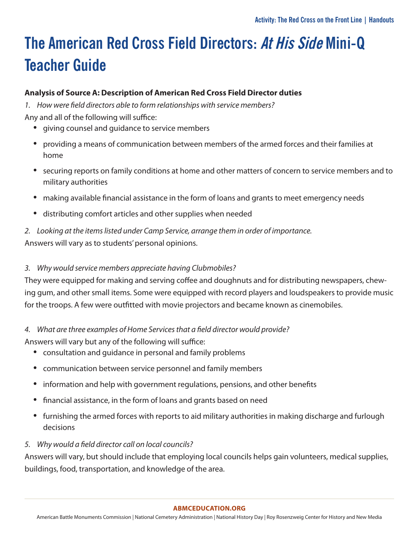## **The American Red Cross Field Directors: At His Side Mini-Q Teacher Guide**

### **Analysis of Source A: Description of American Red Cross Field Director duties**

*1. How were field directors able to form relationships with service members?* Any and all of the following will suffice:

- giving counsel and guidance to service members
- providing a means of communication between members of the armed forces and their families at home
- securing reports on family conditions at home and other matters of concern to service members and to military authorities
- making available financial assistance in the form of loans and grants to meet emergency needs
- distributing comfort articles and other supplies when needed
- *2. Looking at the items listed under Camp Service, arrange them in order of importance.* Answers will vary as to students' personal opinions.
- *3. Why would service members appreciate having Clubmobiles?*

They were equipped for making and serving coffee and doughnuts and for distributing newspapers, chewing gum, and other small items. Some were equipped with record players and loudspeakers to provide music for the troops. A few were outfitted with movie projectors and became known as cinemobiles.

### *4. What are three examples of Home Services that a field director would provide?*

Answers will vary but any of the following will suffice:

- consultation and guidance in personal and family problems
- communication between service personnel and family members
- information and help with government regulations, pensions, and other benefits
- financial assistance, in the form of loans and grants based on need
- furnishing the armed forces with reports to aid military authorities in making discharge and furlough decisions
- *5. Why would a field director call on local councils?*

Answers will vary, but should include that employing local councils helps gain volunteers, medical supplies, buildings, food, transportation, and knowledge of the area.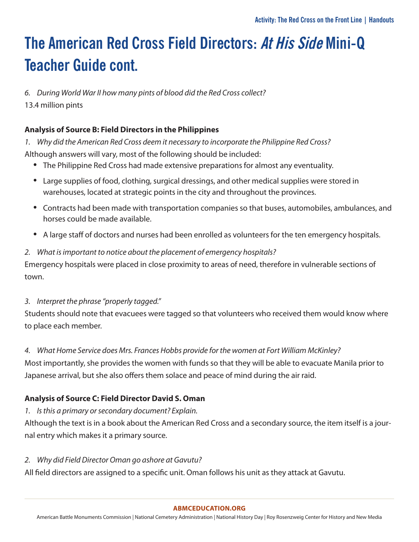*6. During World War II how many pints of blood did the Red Cross collect?* 13.4 million pints

### **Analysis of Source B: Field Directors in the Philippines**

*1. Why did the American Red Cross deem it necessary to incorporate the Philippine Red Cross?* Although answers will vary, most of the following should be included:

- The Philippine Red Cross had made extensive preparations for almost any eventuality.
- Large supplies of food, clothing, surgical dressings, and other medical supplies were stored in warehouses, located at strategic points in the city and throughout the provinces.
- Contracts had been made with transportation companies so that buses, automobiles, ambulances, and horses could be made available.
- A large staff of doctors and nurses had been enrolled as volunteers for the ten emergency hospitals.

### *2. What is important to notice about the placement of emergency hospitals?*

Emergency hospitals were placed in close proximity to areas of need, therefore in vulnerable sections of town.

### *3. Interpret the phrase "properly tagged."*

Students should note that evacuees were tagged so that volunteers who received them would know where to place each member.

### *4. What Home Service does Mrs. Frances Hobbs provide for the women at Fort William McKinley?*

Most importantly, she provides the women with funds so that they will be able to evacuate Manila prior to Japanese arrival, but she also offers them solace and peace of mind during the air raid.

### **Analysis of Source C: Field Director David S. Oman**

*1. Is this a primary or secondary document? Explain.*

Although the text is in a book about the American Red Cross and a secondary source, the item itself is a journal entry which makes it a primary source.

*2. Why did Field Director Oman go ashore at Gavutu?*

All field directors are assigned to a specific unit. Oman follows his unit as they attack at Gavutu.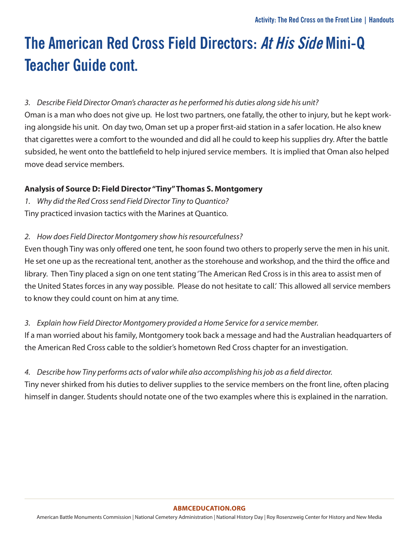### *3. Describe Field Director Oman's character as he performed his duties along side his unit?*

Oman is a man who does not give up. He lost two partners, one fatally, the other to injury, but he kept working alongside his unit. On day two, Oman set up a proper first-aid station in a safer location. He also knew that cigarettes were a comfort to the wounded and did all he could to keep his supplies dry. After the battle subsided, he went onto the battlefield to help injured service members. It is implied that Oman also helped move dead service members.

### **Analysis of Source D: Field Director "Tiny" Thomas S. Montgomery**

*1. Why did the Red Cross send Field Director Tiny to Quantico?* Tiny practiced invasion tactics with the Marines at Quantico.

### *2. How does Field Director Montgomery show his resourcefulness?*

Even though Tiny was only offered one tent, he soon found two others to properly serve the men in his unit. He set one up as the recreational tent, another as the storehouse and workshop, and the third the office and library. Then Tiny placed a sign on one tent stating 'The American Red Cross is in this area to assist men of the United States forces in any way possible. Please do not hesitate to call.' This allowed all service members to know they could count on him at any time.

### *3. Explain how Field Director Montgomery provided a Home Service for a service member.*

If a man worried about his family, Montgomery took back a message and had the Australian headquarters of the American Red Cross cable to the soldier's hometown Red Cross chapter for an investigation.

### *4. Describe how Tiny performs acts of valor while also accomplishing his job as a field director.*

Tiny never shirked from his duties to deliver supplies to the service members on the front line, often placing himself in danger. Students should notate one of the two examples where this is explained in the narration.

#### **[ABMCEDUCATION.ORG](http://abmceducation.org)**